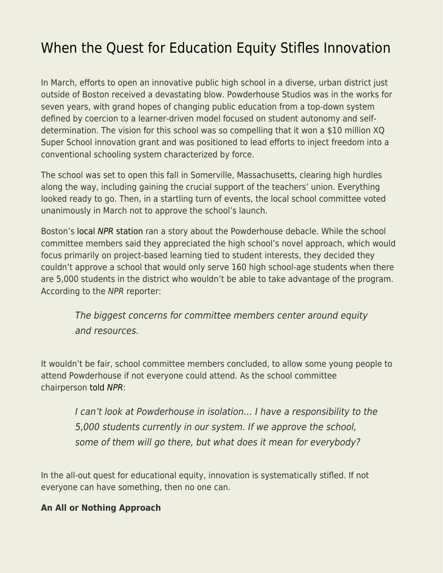## [When the Quest for Education Equity Stifles Innovation](https://everything-voluntary.com/when-the-quest-for-education-equity-stifles-innovation)

In March, efforts to open an innovative public high school in a diverse, urban district just outside of Boston received a devastating blow. Powderhouse Studios was in the works for seven years, with grand hopes of changing public education from a top-down system defined by coercion to a learner-driven model focused on student autonomy and selfdetermination. The vision for this school was so compelling that it won a \$10 million XQ Super School innovation grant and was positioned to lead efforts to inject freedom into a conventional schooling system characterized by force.

The school was set to open this fall in Somerville, Massachusetts, clearing high hurdles along the way, including gaining the crucial support of the teachers' union. Everything looked ready to go. Then, in a startling turn of events, the local school committee voted unanimously in March not to approve the school's launch.

Boston's [local](https://info.fee.org/e2t/c/*VRG7Sl2wQjd6W5LFzwy4QZ1qr0/*W7LJDqT29CwWJN9bvdX36-cKH0/5/f18dQhb0S82-9c-kygW9htZXT1mTkZBW35v1Pr1Z07RCW1W-LCK1PphNvW2-swXT3-m-4hW3sbNf55PprmTW5xHh8F5RXc0pW38_whq3xd0zwW3xMcMd5WpLR3W5PVdPC5jRX2dW6d6WVs5F_8hyW6jzLFB5xHhjxW5mfK7f3lMWCkW5RZcdG3jJ_1yW5K-FKH5B4_2rW8Dsw3R3VXzh6W3dNY592_VZQcW2PC3-J1vwH2NW2KDbdJ1v14y7W2Swjxk3DL-vHVbzl0F3XsqW0N5pfw1S5Bv6LW6TM0dV4Ld7zKW47P0wC403tVSW3vbpkw6nlGHcW2vLPn147DqxwW4rV0cd3KKVr_W5TNvdm64lxWsW3gVCZk4V98VlW3HqNWx2WSMvSW3VY6vb4LBNjVW30Cjf_6GWzBpW2HLycc5zZnsqW62YN_83zbvXGW6PnYj22_f5FXW516H0j6g5vYJW2pq2Hv5Cws2yW4_DfSN33bWnYW5tqzKf5s1QYXW6Pc2QH64KVqhM5gKM-VR6H2W4q1yXr60ZVbmW33Fs_44cy0gTW8Tzbtq1RQ1_jVHBRk630rt9mVWDM01798rZVW5JLg317dVMJDW1TKdn-3g2ks0W5HQM981QfFJDW6F3drr3pxWL3McTSRKcSk6nf5tFjmB02) [NPR](https://info.fee.org/e2t/c/*VRG7Sl2wQjd6W5LFzwy4QZ1qr0/*W7LJDqT29CwWJN9bvdX36-cKH0/5/f18dQhb0S82-9c-kygW9htZXT1mTkZBW35v1Pr1Z07RCW1W-LCK1PphNvW2-swXT3-m-4hW3sbNf55PprmTW5xHh8F5RXc0pW38_whq3xd0zwW3xMcMd5WpLR3W5PVdPC5jRX2dW6d6WVs5F_8hyW6jzLFB5xHhjxW5mfK7f3lMWCkW5RZcdG3jJ_1yW5K-FKH5B4_2rW8Dsw3R3VXzh6W3dNY592_VZQcW2PC3-J1vwH2NW2KDbdJ1v14y7W2Swjxk3DL-vHVbzl0F3XsqW0N5pfw1S5Bv6LW6TM0dV4Ld7zKW47P0wC403tVSW3vbpkw6nlGHcW2vLPn147DqxwW4rV0cd3KKVr_W5TNvdm64lxWsW3gVCZk4V98VlW3HqNWx2WSMvSW3VY6vb4LBNjVW30Cjf_6GWzBpW2HLycc5zZnsqW62YN_83zbvXGW6PnYj22_f5FXW516H0j6g5vYJW2pq2Hv5Cws2yW4_DfSN33bWnYW5tqzKf5s1QYXW6Pc2QH64KVqhM5gKM-VR6H2W4q1yXr60ZVbmW33Fs_44cy0gTW8Tzbtq1RQ1_jVHBRk630rt9mVWDM01798rZVW5JLg317dVMJDW1TKdn-3g2ks0W5HQM981QfFJDW6F3drr3pxWL3McTSRKcSk6nf5tFjmB02) [station](https://info.fee.org/e2t/c/*VRG7Sl2wQjd6W5LFzwy4QZ1qr0/*W7LJDqT29CwWJN9bvdX36-cKH0/5/f18dQhb0S82-9c-kygW9htZXT1mTkZBW35v1Pr1Z07RCW1W-LCK1PphNvW2-swXT3-m-4hW3sbNf55PprmTW5xHh8F5RXc0pW38_whq3xd0zwW3xMcMd5WpLR3W5PVdPC5jRX2dW6d6WVs5F_8hyW6jzLFB5xHhjxW5mfK7f3lMWCkW5RZcdG3jJ_1yW5K-FKH5B4_2rW8Dsw3R3VXzh6W3dNY592_VZQcW2PC3-J1vwH2NW2KDbdJ1v14y7W2Swjxk3DL-vHVbzl0F3XsqW0N5pfw1S5Bv6LW6TM0dV4Ld7zKW47P0wC403tVSW3vbpkw6nlGHcW2vLPn147DqxwW4rV0cd3KKVr_W5TNvdm64lxWsW3gVCZk4V98VlW3HqNWx2WSMvSW3VY6vb4LBNjVW30Cjf_6GWzBpW2HLycc5zZnsqW62YN_83zbvXGW6PnYj22_f5FXW516H0j6g5vYJW2pq2Hv5Cws2yW4_DfSN33bWnYW5tqzKf5s1QYXW6Pc2QH64KVqhM5gKM-VR6H2W4q1yXr60ZVbmW33Fs_44cy0gTW8Tzbtq1RQ1_jVHBRk630rt9mVWDM01798rZVW5JLg317dVMJDW1TKdn-3g2ks0W5HQM981QfFJDW6F3drr3pxWL3McTSRKcSk6nf5tFjmB02) ran a story about the Powderhouse debacle. While the school committee members said they appreciated the high school's novel approach, which would focus primarily on project-based learning tied to student interests, they decided they couldn't approve a school that would only serve 160 high school-age students when there are 5,000 students in the district who wouldn't be able to take advantage of the program. According to the NPR reporter:

The biggest concerns for committee members center around equity and resources.

It wouldn't be fair, school committee members concluded, to allow some young people to attend Powderhouse if not everyone could attend. As the school committee chairperson [told](https://info.fee.org/e2t/c/*VRG7Sl2wQjd6W5LFzwy4QZ1qr0/*W3sBQ0Z7jsKpzW2ZHWvv9hSFvP0/5/f18dQhb0S82-9c-kygW9htZXT1mTkZBW35v1Pr1Z07RCW1W-LCK1PphNvW2-swXT3-m-4hW3sbNf55PprmTW5xHh8F5RXc0pW38_whq3xd0zwW3xMcMd5WpLR3W5PVdPC5jRX2dW6d6WVs5F_8hyW6jzLFB5xHhjxW5mfK7f3lMWCkW5RZcdG3jJ_1yW5K-FKH5B4_2rW8Dsw3R3VXzh6W3dNY592_VZQcW2PC3-J1vwH2NW2KDbdJ1v14y7W2Swjxk3DL-vHVbzl0F3XsqW0N5pfw1S5Bv6LW6TM0dV4Ld7zKW47P0wC403tVSW3vbpkw6nlGHcW2vLPn147DqxwW4rV0cd3KKVr_W5TNvdm64lxWsW3gVCZk4V98VlW3HqNWx2WSMvSW3VY6vb4LBNjVW30Cjf_6GWzBpW2HLycc5zZnsqW62YN_83zbvXGW6PnYj22_f5FXW516H0j6g5vYJW2pq2Hv5Cws2yW4_DfSN33bWnYW5tqzKf5s1QYXW6Pc2QH64KVqhM5gKM-VR6H2W4q1yXr60ZVbmW33Fs_44cy0gTW8Tzbtq1RQ1_jVHBRk630rt9mVWDM01798rZVW5JLg317dVMJDW1TKdn-3g2ks0W5HQM981QfFJDW6F3drr3pxWL3N2z7R2zcSyMDf8_bGKk02) [NPR](https://info.fee.org/e2t/c/*VRG7Sl2wQjd6W5LFzwy4QZ1qr0/*W3sBQ0Z7jsKpzW2ZHWvv9hSFvP0/5/f18dQhb0S82-9c-kygW9htZXT1mTkZBW35v1Pr1Z07RCW1W-LCK1PphNvW2-swXT3-m-4hW3sbNf55PprmTW5xHh8F5RXc0pW38_whq3xd0zwW3xMcMd5WpLR3W5PVdPC5jRX2dW6d6WVs5F_8hyW6jzLFB5xHhjxW5mfK7f3lMWCkW5RZcdG3jJ_1yW5K-FKH5B4_2rW8Dsw3R3VXzh6W3dNY592_VZQcW2PC3-J1vwH2NW2KDbdJ1v14y7W2Swjxk3DL-vHVbzl0F3XsqW0N5pfw1S5Bv6LW6TM0dV4Ld7zKW47P0wC403tVSW3vbpkw6nlGHcW2vLPn147DqxwW4rV0cd3KKVr_W5TNvdm64lxWsW3gVCZk4V98VlW3HqNWx2WSMvSW3VY6vb4LBNjVW30Cjf_6GWzBpW2HLycc5zZnsqW62YN_83zbvXGW6PnYj22_f5FXW516H0j6g5vYJW2pq2Hv5Cws2yW4_DfSN33bWnYW5tqzKf5s1QYXW6Pc2QH64KVqhM5gKM-VR6H2W4q1yXr60ZVbmW33Fs_44cy0gTW8Tzbtq1RQ1_jVHBRk630rt9mVWDM01798rZVW5JLg317dVMJDW1TKdn-3g2ks0W5HQM981QfFJDW6F3drr3pxWL3N2z7R2zcSyMDf8_bGKk02):

I can't look at Powderhouse in isolation… I have a responsibility to the 5,000 students currently in our system. If we approve the school, some of them will go there, but what does it mean for everybody?

In the all-out quest for educational equity, innovation is systematically stifled. If not everyone can have something, then no one can.

## **An All or Nothing Approach**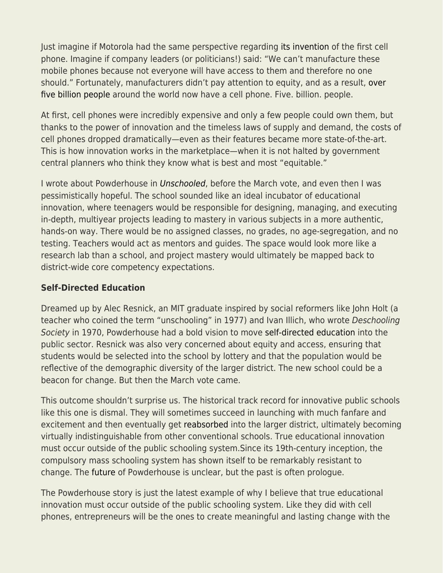Just imagine if Motorola had the same perspective regarding [its invention](https://info.fee.org/e2t/c/*VRG7Sl2wQjd6W5LFzwy4QZ1qr0/*N34YPSrl_N_8W94N3rJ2d5zFv0/5/f18dQhb0SnG-2gBtWmW7nJ-r75HKBTpW243DSG58ySj1Mt3Y5zQPBfvW5q9cPw8yynB4W8xVv583NpJMvN3GCS01TGDy9W8TsFjc92Wg86W7lZGtl7B2b-VW7w5cw62J6FTRW7lcyxN6Gt3ZmW58R2pq1GlVNbW7BQPtS4hwnXnVjlq4P7vQ-cxW6xhy6d1HrlnFW548GrJ5lKvt_N5420y5JVPWsW2xXwfB8q-VL4W64C80P1lRb4_TqqbT2VV4BZW5STR-N5K_zXKW3lj2tv3blhRkW3YTtHZ2-syJ8W3nb1BP5QwsJLW5Ddpfx8vwX66W3STTsg39vlWKN3zzhGcZ4CCxW5pgF3K3hNRLpN3y8W0PLH6cvW8GRgz_5mdlZxW8qzh1y8yyNf8VW2LlR42TB6vVMjVxF3CyH00W8zmPWR5gWZ5RW3Mpt3q3D8WyvW5rT8vz3K75WqW3JhPl-42ktqtF6bLRTwkWYGVcZLWR86l4pCW6cgXv45r-2H-W5JZNXW9dZNNQW57MkPF79-ynDN7Nrz9cd8y6qW1QN_nG640r_lW8S2tKf56fnbrVR_T658rxLy3W56njVp1Hw9YvW3bGkNX73Q0vRV1-BXT4F_Gqt102) of the first cell phone. Imagine if company leaders (or politicians!) said: "We can't manufacture these mobile phones because not everyone will have access to them and therefore no one should." Fortunately, manufacturers didn't pay attention to equity, and as a result, [over](https://info.fee.org/e2t/c/*VRG7Sl2wQjd6W5LFzwy4QZ1qr0/*W7VGDmS2d-mG5W4B4Wvq8vtsyg0/5/f18dQhb0S1Wb73FkvWV12cQB57L4brW7jQtwJ6sztt0N1XkmV8Ch6-wW361nPk28Sc0DW1ZwrYl6-lsG8W86CNnS5Q-dYtW5HRThq8NR6bQW4Phnr51LHBHRW2vmblg2jz1f5W89LW9v4DlsB4W2hvRlD4wZd3YW4wYmKf47PZVWW6QPtDd3Mtd48W62kYbQ1NSZDcW4WyGb22nvk9wW7nR_r-4d-GGZW5Cykg01Hj20JW5jCNp72P1gLPVG2-Jz1NR9cPN48gx8F24w-gW8g7dKl1TNmpLW1jhP7y1cjb2TMBWd7Ppwbr6W3fGc1n58X8F8W2C5kWy2Pd2jfW4CCHwG8_FfNbW548RJT5y5zkPVXs7m954p7B3W4P3KyB1BnmZ-W61PMVf7TB2clW7kwsC39bC_YFW5vwPNP1lVQskW6VpwyZ3RBYytW49PqtR7Q8-MfW69GPjy74FbQXW6vjNDB87KDtPW8S6_Yy87-GYpW1NSSNL6PLswSW78g2BY7yJbLyW7HkkWr67r1xmW5JWJsL2TM0lSVBjBsv13lvWTVJlq4R7ND_DdW72L6CS68w8FZW5sxhvD19LD_yW6ZnWCS143m2QW3S8qlZ9j-y7KMv8JnnxycLrW6wlT344YS0C8W1N2hSD3bkpQhW9f8-T87VNxLyW70Bywr6_tp2_W2dltJS8hZ7GfW8Jj9_k336TS7W7TQm6X9k7R0qf6PbHb502) [five billion people](https://info.fee.org/e2t/c/*VRG7Sl2wQjd6W5LFzwy4QZ1qr0/*W7VGDmS2d-mG5W4B4Wvq8vtsyg0/5/f18dQhb0S1Wb73FkvWV12cQB57L4brW7jQtwJ6sztt0N1XkmV8Ch6-wW361nPk28Sc0DW1ZwrYl6-lsG8W86CNnS5Q-dYtW5HRThq8NR6bQW4Phnr51LHBHRW2vmblg2jz1f5W89LW9v4DlsB4W2hvRlD4wZd3YW4wYmKf47PZVWW6QPtDd3Mtd48W62kYbQ1NSZDcW4WyGb22nvk9wW7nR_r-4d-GGZW5Cykg01Hj20JW5jCNp72P1gLPVG2-Jz1NR9cPN48gx8F24w-gW8g7dKl1TNmpLW1jhP7y1cjb2TMBWd7Ppwbr6W3fGc1n58X8F8W2C5kWy2Pd2jfW4CCHwG8_FfNbW548RJT5y5zkPVXs7m954p7B3W4P3KyB1BnmZ-W61PMVf7TB2clW7kwsC39bC_YFW5vwPNP1lVQskW6VpwyZ3RBYytW49PqtR7Q8-MfW69GPjy74FbQXW6vjNDB87KDtPW8S6_Yy87-GYpW1NSSNL6PLswSW78g2BY7yJbLyW7HkkWr67r1xmW5JWJsL2TM0lSVBjBsv13lvWTVJlq4R7ND_DdW72L6CS68w8FZW5sxhvD19LD_yW6ZnWCS143m2QW3S8qlZ9j-y7KMv8JnnxycLrW6wlT344YS0C8W1N2hSD3bkpQhW9f8-T87VNxLyW70Bywr6_tp2_W2dltJS8hZ7GfW8Jj9_k336TS7W7TQm6X9k7R0qf6PbHb502) around the world now have a cell phone. Five. billion. people.

At first, cell phones were incredibly expensive and only a few people could own them, but thanks to the power of innovation and the timeless laws of supply and demand, the costs of cell phones dropped dramatically—even as their features became more state-of-the-art. This is how innovation works in the marketplace—when it is not halted by government central planners who think they know what is best and most "equitable."

I wrote about Powderhouse in [Unschooled](https://info.fee.org/e2t/c/*VRG7Sl2wQjd6W5LFzwy4QZ1qr0/*N24s_HDVfRYSN13zDc21yzl10/5/f18dQhb0SmhT9c-lTnW9htZXT1mTkZBW35v1Pr1Z07RCW1W-LCK1N8Jp2W2-swY862X7vTW3sR1cF5HwyYrW66Hlvw6fFBlVW5L0pmt5RTjp4W10vN8h5_r67MW5G3ch-8ljsXgW8r3ZrL8rCLyyW8sYvB45sNpMcW1nPk9C8s3dk9VV7VyG63JprJN5G1TjvXwWkQW1144sL5wL96LW1sL3M03MybvyN6RqXRTZvDkbM5lH9z6CPWzN4XyQ-nPZT_rN2yJF1WYT2jkW6P4lCX3WdlNHW6Pkt_V62_rWzW4MW8X34r1D5mW6Hz4X84f434kW3NnV4F1nJpwvW26pdfj35y0P-W95SS5b5C4z2XW29Cpjp3H0Pb7W6Q2Skg6LRR6lW4VzRd26SH4w-N2vKj3LhMGLkVPJV0l8q0k0-W6QhGnb23gRYbW4tTx6k5x-2R8W8nwqMQ5_M7SRVWxS4V65Kh6wN5G23xl9kWHpVSzjhh60Nkq5VPs-vg26W5dBW62dblL5vD3d-W12mv4D3X-x4kW91C_Xj73QsnmW1d5pgb5szJk1N20ZPb8QL5NmN96R57RYnPJVW50SFms69NH1nVsk4dR3BBrg6W2RVzwL8j_4y5VXmSvg1F18L0N7wZChtVFMVpW3k1Rsx6ml62FN4Pv86f5Y0kpf7Bgkjy02), before the March vote, and even then I was pessimistically hopeful. The school sounded like an ideal incubator of educational innovation, where teenagers would be responsible for designing, managing, and executing in-depth, multiyear projects leading to mastery in various subjects in a more authentic, hands-on way. There would be no assigned classes, no grades, no age-segregation, and no testing. Teachers would act as mentors and guides. The space would look more like a research lab than a school, and project mastery would ultimately be mapped back to district-wide core competency expectations.

## **Self-Directed Education**

Dreamed up by Alec Resnick, an MIT graduate inspired by social reformers like John Holt (a teacher who coined the term "unschooling" in 1977) and Ivan Illich, who wrote Deschooling Society in 1970, Powderhouse had a bold vision to move [self-directed education](https://www.self-directed.org/) into the public sector. Resnick was also very concerned about equity and access, ensuring that students would be selected into the school by lottery and that the population would be reflective of the demographic diversity of the larger district. The new school could be a beacon for change. But then the March vote came.

This outcome shouldn't surprise us. The historical track record for innovative public schools like this one is dismal. They will sometimes succeed in launching with much fanfare and excitement and then eventually get [reabsorbed](https://www.educationnext.org/out-of-the-mainstream/) into the larger district, ultimately becoming virtually indistinguishable from other conventional schools. True educational innovation must occur outside of the public schooling system.Since its 19th-century inception, the compulsory mass schooling system has shown itself to be remarkably resistant to change. The [future](https://www.bostonglobe.com/magazine/2019/08/07/somerville-won-million-open-new-high-school-and-went-downhill-from-there/MP7qyc7EsBY8SbNl2qdz1M/story.html) of Powderhouse is unclear, but the past is often prologue.

The Powderhouse story is just the latest example of why I believe that true educational innovation must occur outside of the public schooling system. Like they did with cell phones, entrepreneurs will be the ones to create meaningful and lasting change with the